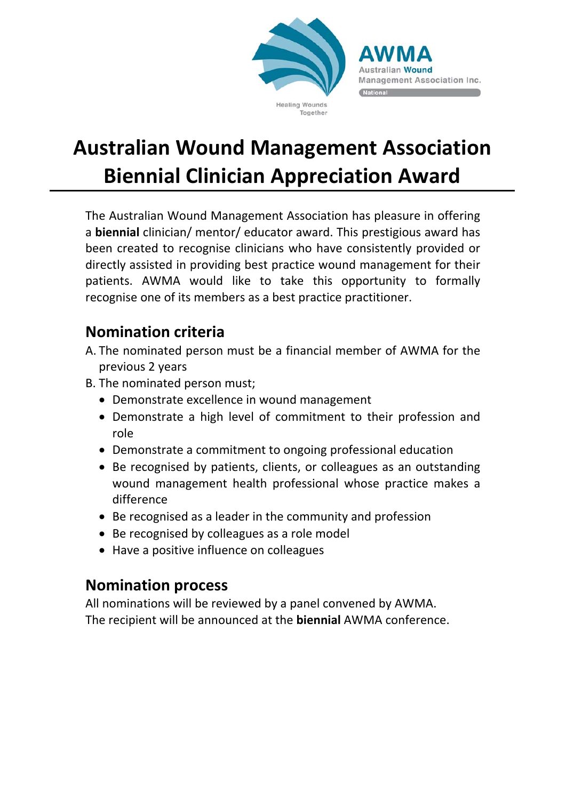

Wound agement Association Inc.

#### Together

# **Australian Wound Management Association Biennial Clinician Appreciation Award**

The Australian Wound Management Association has pleasure in offering a **biennial** clinician/ mentor/ educator award. This prestigious award has been created to recognise clinicians who have consistently provided or directly assisted in providing best practice wound management for their patients. AWMA would like to take this opportunity to formally recognise one of its members as a best practice practitioner.

### **Nomination criteria**

- A. The nominated person must be a financial member of AWMA for the previous 2 years
- B. The nominated person must;
	- Demonstrate excellence in wound management
	- Demonstrate a high level of commitment to their profession and role
	- Demonstrate a commitment to ongoing professional education
	- Be recognised by patients, clients, or colleagues as an outstanding wound management health professional whose practice makes a difference
	- Be recognised as a leader in the community and profession
	- Be recognised by colleagues as a role model
	- Have a positive influence on colleagues

### **Nomination process**

All nominations will be reviewed by a panel convened by AWMA. The recipient will be announced at the **biennial** AWMA conference.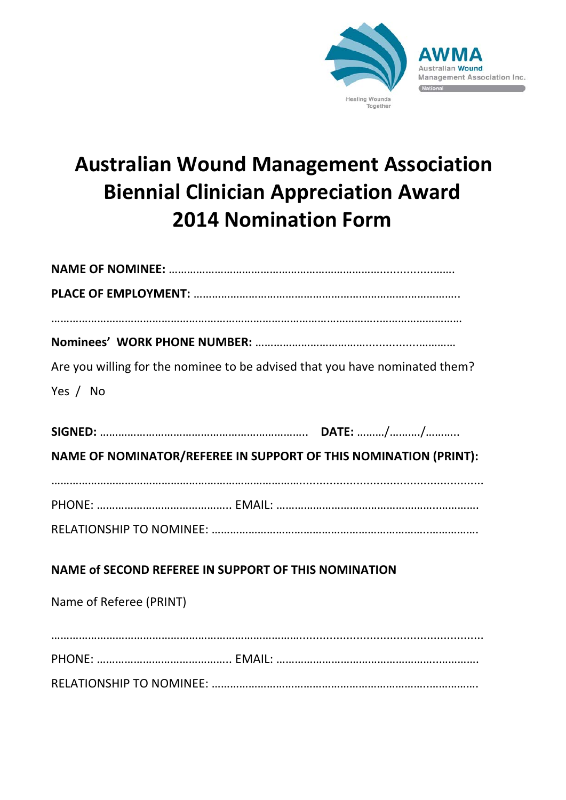

# **Australian Wound Management Association Biennial Clinician Appreciation Award 2014 Nomination Form**

| Are you willing for the nominee to be advised that you have nominated them? |
|-----------------------------------------------------------------------------|
| Yes / No                                                                    |
|                                                                             |
|                                                                             |
| NAME OF NOMINATOR/REFEREE IN SUPPORT OF THIS NOMINATION (PRINT):            |
|                                                                             |
|                                                                             |
|                                                                             |
|                                                                             |
| NAME of SECOND REFEREE IN SUPPORT OF THIS NOMINATION                        |
| Name of Referee (PRINT)                                                     |
|                                                                             |
|                                                                             |
|                                                                             |

RELATIONSHIP TO NOMINEE: ……………………………………………………………..…………….